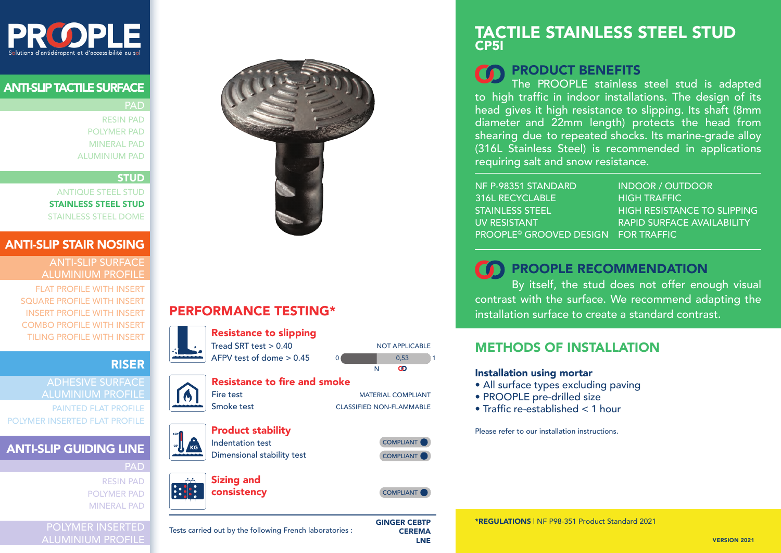

## ANTI-SLIP TACTILE SURFACE

**PAD** 

RESIN PAD POLYMER PAD MINERAL PAD ALUMINIUM PAD

#### STUD

ANTIQUE STEEL STUD STAINLESS STEEL STUD STAINLESS STEEL DOME

#### ANTI-SLIP STAIR NOSING

ANTI-SLIP SURFACE ALUMINIUM PROFILE

FLAT PROFILE WITH INSERT SQUARE PROFILE WITH INSERT INSERT PROFILE WITH INSERT COMBO PROFILE WITH INSERT TILING PROFILE WITH INSERT

## RISER

ADHESIVE SURFACE ALUMINIUM PROFILE PAINTED FLAT PROFILE POLYMER INSERTED FLAT PROFILE

## ANTI-SLIP GUIDING LINE

PAD RESIN PAD POLYMER PAD MINERAL PAD

|  | <b>POLYMER INSERTED</b>  |  |
|--|--------------------------|--|
|  | <b>ALUMINIUM PROFILE</b> |  |



# PERFORMANCE TESTING\*



LNE

# TACTILE STAINLESS STEEL STUD CP5I

# PRODUCT BENEFITS

The PROOPLE stainless steel stud is adapted to high traffic in indoor installations. The design of its head gives it high resistance to slipping. Its shaft (8mm diameter and 22mm length) protects the head from shearing due to repeated shocks. Its marine-grade alloy (316L Stainless Steel) is recommended in applications requiring salt and snow resistance.

NF P-98351 STANDARD 316L RECYCLABLE STAINLESS STEEL UV RESISTANT PROOPLE<sup>®</sup> GROOVED DESIGN FOR TRAFFIC

INDOOR / OUTDOOR HIGH TRAFFIC HIGH RESISTANCE TO SLIPPING RAPID SURFACE AVAILABILITY

# **THE RECOMMENDATION**

By itself, the stud does not offer enough visual contrast with the surface. We recommend adapting the installation surface to create a standard contrast.

## METHODS OF INSTALLATION

#### Installation using mortar

- All surface types excluding paving
- PROOPLE pre-drilled size
- Traffic re-established < 1 hour

Please refer to our installation instructions.

\*REGULATIONS ǀ NF P98-351 Product Standard 2021